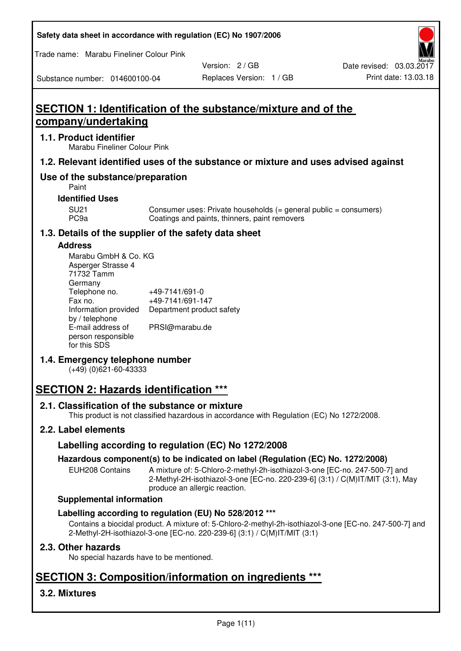| Safety data sheet in accordance with regulation (EC) No 1907/2006 |  |  |  |
|-------------------------------------------------------------------|--|--|--|
|-------------------------------------------------------------------|--|--|--|

Trade name: Marabu Fineliner Colour Pink

Substance number: 014600100-04

Version: 2 / GB

# **SECTION 1: Identification of the substance/mixture and of the company/undertaking**

## **1.1. Product identifier**

Marabu Fineliner Colour Pink

# **1.2. Relevant identified uses of the substance or mixture and uses advised against**

# **Use of the substance/preparation**

Paint

### **Identified Uses**

SU21 Consumer uses: Private households (= general public = consumers)<br>PC9a Coatings and paints, thinners, paint removers Coatings and paints, thinners, paint removers

# **1.3. Details of the supplier of the safety data sheet**

## **Address**

| Marabu GmbH & Co. KG |                           |
|----------------------|---------------------------|
| Asperger Strasse 4   |                           |
| 71732 Tamm           |                           |
| Germany              |                           |
| Telephone no.        | +49-7141/691-0            |
| Fax no.              | +49-7141/691-147          |
| Information provided | Department product safety |
| by / telephone       |                           |
| E-mail address of    | PRSI@marabu.de            |
| person responsible   |                           |
| for this SDS         |                           |

# **1.4. Emergency telephone number**

(+49) (0)621-60-43333

# **SECTION 2: Hazards identification \*\*\***

## **2.1. Classification of the substance or mixture**

This product is not classified hazardous in accordance with Regulation (EC) No 1272/2008.

# **2.2. Label elements**

# **Labelling according to regulation (EC) No 1272/2008**

## **Hazardous component(s) to be indicated on label (Regulation (EC) No. 1272/2008)**

EUH208 Contains A mixture of: 5-Chloro-2-methyl-2h-isothiazol-3-one [EC-no. 247-500-7] and 2-Methyl-2H-isothiazol-3-one [EC-no. 220-239-6] (3:1) / C(M)IT/MIT (3:1), May produce an allergic reaction.

#### **Supplemental information**

## **Labelling according to regulation (EU) No 528/2012 \*\*\***

Contains a biocidal product. A mixture of: 5-Chloro-2-methyl-2h-isothiazol-3-one [EC-no. 247-500-7] and 2-Methyl-2H-isothiazol-3-one [EC-no. 220-239-6] (3:1) / C(M)IT/MIT (3:1)

## **2.3. Other hazards**

No special hazards have to be mentioned.

# **SECTION 3: Composition/information on ingredients \*\*\***

# **3.2. Mixtures**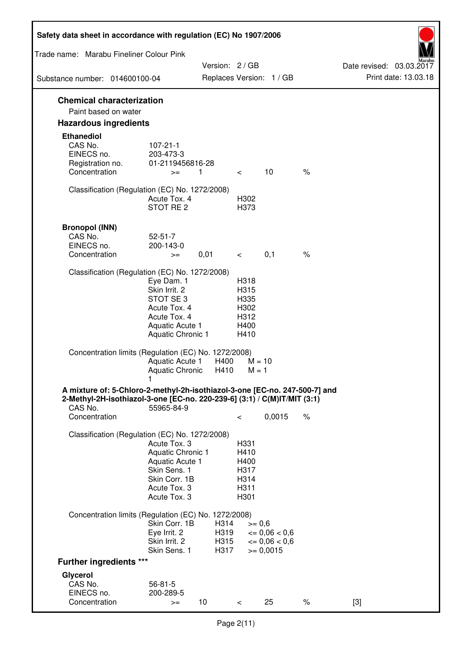| Safety data sheet in accordance with regulation (EC) No 1907/2006                                                                                      |                                                                      |                 |                      |                              |                                                                   |      |                          |                      |
|--------------------------------------------------------------------------------------------------------------------------------------------------------|----------------------------------------------------------------------|-----------------|----------------------|------------------------------|-------------------------------------------------------------------|------|--------------------------|----------------------|
| Trade name: Marabu Fineliner Colour Pink                                                                                                               |                                                                      |                 |                      |                              |                                                                   |      |                          |                      |
| Substance number: 014600100-04                                                                                                                         |                                                                      |                 |                      | Version: 2 / GB              | Replaces Version: 1 / GB                                          |      | Date revised: 03.03.2017 | Print date: 13.03.18 |
|                                                                                                                                                        |                                                                      |                 |                      |                              |                                                                   |      |                          |                      |
| <b>Chemical characterization</b>                                                                                                                       |                                                                      |                 |                      |                              |                                                                   |      |                          |                      |
| Paint based on water<br><b>Hazardous ingredients</b>                                                                                                   |                                                                      |                 |                      |                              |                                                                   |      |                          |                      |
| <b>Ethanediol</b>                                                                                                                                      |                                                                      |                 |                      |                              |                                                                   |      |                          |                      |
| CAS No.<br>EINECS no.                                                                                                                                  | $107 - 21 - 1$<br>203-473-3                                          |                 |                      |                              |                                                                   |      |                          |                      |
| Registration no.<br>Concentration                                                                                                                      | 01-2119456816-28<br>$>=$                                             | 1               |                      | $\lt$                        | 10                                                                | $\%$ |                          |                      |
| Classification (Regulation (EC) No. 1272/2008)                                                                                                         | Acute Tox, 4<br>STOT RE <sub>2</sub>                                 |                 |                      | H302<br>H373                 |                                                                   |      |                          |                      |
| <b>Bronopol (INN)</b>                                                                                                                                  |                                                                      |                 |                      |                              |                                                                   |      |                          |                      |
| CAS No.                                                                                                                                                | $52 - 51 - 7$                                                        |                 |                      |                              |                                                                   |      |                          |                      |
| EINECS no.<br>Concentration                                                                                                                            | 200-143-0<br>$>=$                                                    | 0,01            |                      | $\lt$ $\sim$                 | 0,1                                                               | $\%$ |                          |                      |
|                                                                                                                                                        |                                                                      |                 |                      |                              |                                                                   |      |                          |                      |
| Classification (Regulation (EC) No. 1272/2008)                                                                                                         | Eye Dam. 1<br>Skin Irrit. 2<br>STOT SE 3                             |                 |                      | H318<br>H315<br>H335         |                                                                   |      |                          |                      |
|                                                                                                                                                        | Acute Tox. 4<br>Acute Tox. 4<br>Aquatic Acute 1<br>Aquatic Chronic 1 |                 |                      | H302<br>H312<br>H400<br>H410 |                                                                   |      |                          |                      |
|                                                                                                                                                        |                                                                      |                 |                      |                              |                                                                   |      |                          |                      |
| Concentration limits (Regulation (EC) No. 1272/2008)                                                                                                   | Aquatic Acute 1<br><b>Aquatic Chronic</b>                            |                 | H400<br>H410         | $M = 10$<br>$M = 1$          |                                                                   |      |                          |                      |
| A mixture of: 5-Chloro-2-methyl-2h-isothiazol-3-one [EC-no. 247-500-7] and<br>2-Methyl-2H-isothiazol-3-one [EC-no. 220-239-6] (3:1) / C(M)IT/MIT (3:1) | 1                                                                    |                 |                      |                              |                                                                   |      |                          |                      |
| CAS No.<br>Concentration                                                                                                                               | 55965-84-9                                                           |                 |                      | $\,<\,$                      | 0,0015                                                            | $\%$ |                          |                      |
| Classification (Regulation (EC) No. 1272/2008)                                                                                                         |                                                                      |                 |                      |                              |                                                                   |      |                          |                      |
|                                                                                                                                                        | Acute Tox. 3                                                         |                 |                      | H331                         |                                                                   |      |                          |                      |
|                                                                                                                                                        | Aquatic Chronic 1<br>Aquatic Acute 1                                 |                 |                      | H410<br>H400                 |                                                                   |      |                          |                      |
|                                                                                                                                                        | Skin Sens. 1                                                         |                 |                      | H317                         |                                                                   |      |                          |                      |
|                                                                                                                                                        | Skin Corr. 1B                                                        |                 |                      | H314                         |                                                                   |      |                          |                      |
|                                                                                                                                                        | Acute Tox. 3<br>Acute Tox. 3                                         |                 |                      | H311<br>H301                 |                                                                   |      |                          |                      |
| Concentration limits (Regulation (EC) No. 1272/2008)                                                                                                   |                                                                      |                 |                      |                              |                                                                   |      |                          |                      |
|                                                                                                                                                        | Skin Corr. 1B                                                        |                 | H314                 | $>= 0,6$                     |                                                                   |      |                          |                      |
|                                                                                                                                                        | Eye Irrit. 2<br>Skin Irrit. 2<br>Skin Sens. 1                        |                 | H319<br>H315<br>H317 |                              | $\epsilon = 0.06 < 0.6$<br>$\epsilon = 0.06 < 0.6$<br>$>= 0,0015$ |      |                          |                      |
| <b>Further ingredients ***</b>                                                                                                                         |                                                                      |                 |                      |                              |                                                                   |      |                          |                      |
| Glycerol                                                                                                                                               |                                                                      |                 |                      |                              |                                                                   |      |                          |                      |
| CAS No.                                                                                                                                                | $56 - 81 - 5$                                                        |                 |                      |                              |                                                                   |      |                          |                      |
| EINECS no.<br>Concentration                                                                                                                            | 200-289-5<br>$>=$                                                    | 10 <sup>°</sup> |                      | $\,<\,$                      | 25                                                                | $\%$ | $[3]$                    |                      |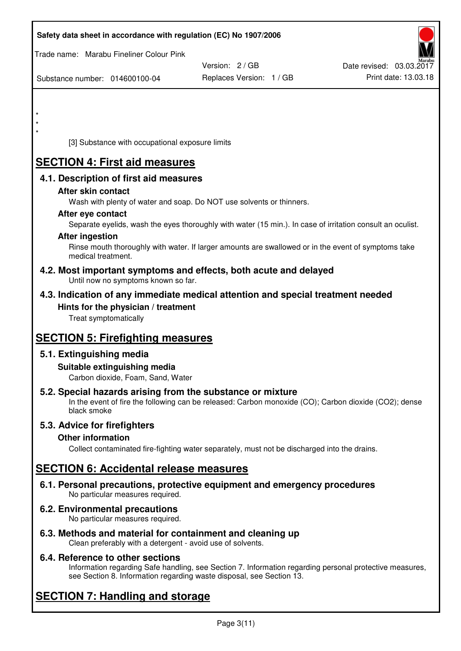| Safety data sheet in accordance with regulation (EC) No 1907/2006                                            |                                                                                                            |                                                  |
|--------------------------------------------------------------------------------------------------------------|------------------------------------------------------------------------------------------------------------|--------------------------------------------------|
| Trade name: Marabu Fineliner Colour Pink                                                                     |                                                                                                            |                                                  |
| Substance number: 014600100-04                                                                               | Version: 2 / GB<br>Replaces Version: 1 / GB                                                                | Date revised: 03.03.2017<br>Print date: 13.03.18 |
|                                                                                                              |                                                                                                            |                                                  |
| $\star$                                                                                                      |                                                                                                            |                                                  |
| $\star$                                                                                                      |                                                                                                            |                                                  |
| [3] Substance with occupational exposure limits                                                              |                                                                                                            |                                                  |
| <b>SECTION 4: First aid measures</b>                                                                         |                                                                                                            |                                                  |
| 4.1. Description of first aid measures                                                                       |                                                                                                            |                                                  |
| After skin contact                                                                                           |                                                                                                            |                                                  |
| Wash with plenty of water and soap. Do NOT use solvents or thinners.<br>After eye contact                    |                                                                                                            |                                                  |
|                                                                                                              | Separate eyelids, wash the eyes thoroughly with water (15 min.). In case of irritation consult an oculist. |                                                  |
| <b>After ingestion</b>                                                                                       | Rinse mouth thoroughly with water. If larger amounts are swallowed or in the event of symptoms take        |                                                  |
| medical treatment.                                                                                           |                                                                                                            |                                                  |
| 4.2. Most important symptoms and effects, both acute and delayed<br>Until now no symptoms known so far.      |                                                                                                            |                                                  |
| 4.3. Indication of any immediate medical attention and special treatment needed                              |                                                                                                            |                                                  |
| Hints for the physician / treatment                                                                          |                                                                                                            |                                                  |
| Treat symptomatically                                                                                        |                                                                                                            |                                                  |
| <b>SECTION 5: Firefighting measures</b>                                                                      |                                                                                                            |                                                  |
| 5.1. Extinguishing media                                                                                     |                                                                                                            |                                                  |
| Suitable extinguishing media<br>Carbon dioxide, Foam, Sand, Water                                            |                                                                                                            |                                                  |
| 5.2. Special hazards arising from the substance or mixture<br>black smoke                                    | In the event of fire the following can be released: Carbon monoxide (CO); Carbon dioxide (CO2); dense      |                                                  |
| 5.3. Advice for firefighters                                                                                 |                                                                                                            |                                                  |
| <b>Other information</b>                                                                                     | Collect contaminated fire-fighting water separately, must not be discharged into the drains.               |                                                  |
| <b>SECTION 6: Accidental release measures</b>                                                                |                                                                                                            |                                                  |
| 6.1. Personal precautions, protective equipment and emergency procedures<br>No particular measures required. |                                                                                                            |                                                  |
| 6.2. Environmental precautions<br>No particular measures required.                                           |                                                                                                            |                                                  |

**6.3. Methods and material for containment and cleaning up**  Clean preferably with a detergent - avoid use of solvents.

# **6.4. Reference to other sections**

Information regarding Safe handling, see Section 7. Information regarding personal protective measures, see Section 8. Information regarding waste disposal, see Section 13.

# **SECTION 7: Handling and storage**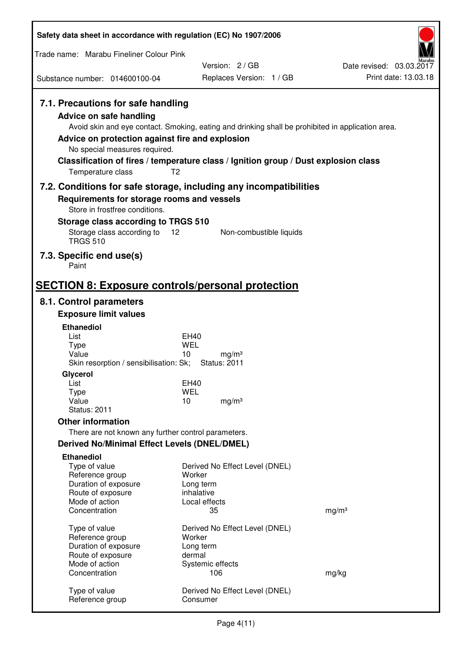| Safety data sheet in accordance with regulation (EC) No 1907/2006                                                                                                      |                                                                                                                                                                                                            |                          |
|------------------------------------------------------------------------------------------------------------------------------------------------------------------------|------------------------------------------------------------------------------------------------------------------------------------------------------------------------------------------------------------|--------------------------|
| Trade name: Marabu Fineliner Colour Pink                                                                                                                               |                                                                                                                                                                                                            |                          |
|                                                                                                                                                                        | Version: 2/GB                                                                                                                                                                                              | Date revised: 03.03.2017 |
| Substance number: 014600100-04                                                                                                                                         | Replaces Version: 1 / GB                                                                                                                                                                                   | Print date: 13.03.18     |
| 7.1. Precautions for safe handling<br>Advice on safe handling<br>Advice on protection against fire and explosion<br>No special measures required.<br>Temperature class | Avoid skin and eye contact. Smoking, eating and drinking shall be prohibited in application area.<br>Classification of fires / temperature class / Ignition group / Dust explosion class<br>T <sub>2</sub> |                          |
|                                                                                                                                                                        | 7.2. Conditions for safe storage, including any incompatibilities                                                                                                                                          |                          |
| Requirements for storage rooms and vessels                                                                                                                             |                                                                                                                                                                                                            |                          |
| Store in frostfree conditions.<br>Storage class according to TRGS 510                                                                                                  |                                                                                                                                                                                                            |                          |
| Storage class according to                                                                                                                                             | 12<br>Non-combustible liquids                                                                                                                                                                              |                          |
| <b>TRGS 510</b>                                                                                                                                                        |                                                                                                                                                                                                            |                          |
| 7.3. Specific end use(s)<br>Paint                                                                                                                                      |                                                                                                                                                                                                            |                          |
| <b>SECTION 8: Exposure controls/personal protection</b>                                                                                                                |                                                                                                                                                                                                            |                          |
| 8.1. Control parameters                                                                                                                                                |                                                                                                                                                                                                            |                          |
| <b>Exposure limit values</b>                                                                                                                                           |                                                                                                                                                                                                            |                          |
| <b>Ethanediol</b>                                                                                                                                                      |                                                                                                                                                                                                            |                          |
| List<br><b>Type</b>                                                                                                                                                    | EH40<br>WEL                                                                                                                                                                                                |                          |
| Value                                                                                                                                                                  | 10<br>mg/m <sup>3</sup>                                                                                                                                                                                    |                          |
| Skin resorption / sensibilisation: Sk;                                                                                                                                 | <b>Status: 2011</b>                                                                                                                                                                                        |                          |
| Glycerol<br>List                                                                                                                                                       | EH40                                                                                                                                                                                                       |                          |
| <b>Type</b>                                                                                                                                                            | <b>WEL</b>                                                                                                                                                                                                 |                          |
| Value<br><b>Status: 2011</b>                                                                                                                                           | 10<br>mg/m <sup>3</sup>                                                                                                                                                                                    |                          |
| <b>Other information</b>                                                                                                                                               |                                                                                                                                                                                                            |                          |
| There are not known any further control parameters.                                                                                                                    |                                                                                                                                                                                                            |                          |
| Derived No/Minimal Effect Levels (DNEL/DMEL)                                                                                                                           |                                                                                                                                                                                                            |                          |
| <b>Ethanediol</b>                                                                                                                                                      |                                                                                                                                                                                                            |                          |
| Type of value<br>Reference group                                                                                                                                       | Derived No Effect Level (DNEL)<br>Worker                                                                                                                                                                   |                          |
| Duration of exposure                                                                                                                                                   | Long term                                                                                                                                                                                                  |                          |
| Route of exposure                                                                                                                                                      | inhalative                                                                                                                                                                                                 |                          |
| Mode of action<br>Concentration                                                                                                                                        | Local effects<br>35                                                                                                                                                                                        | mg/m <sup>3</sup>        |
|                                                                                                                                                                        |                                                                                                                                                                                                            |                          |
| Type of value<br>Reference group                                                                                                                                       | Derived No Effect Level (DNEL)<br>Worker                                                                                                                                                                   |                          |
| Duration of exposure                                                                                                                                                   | Long term                                                                                                                                                                                                  |                          |
| Route of exposure                                                                                                                                                      | dermal                                                                                                                                                                                                     |                          |
| Mode of action<br>Concentration                                                                                                                                        | Systemic effects<br>106                                                                                                                                                                                    | mg/kg                    |
|                                                                                                                                                                        |                                                                                                                                                                                                            |                          |
| Type of value<br>Reference group                                                                                                                                       | Derived No Effect Level (DNEL)<br>Consumer                                                                                                                                                                 |                          |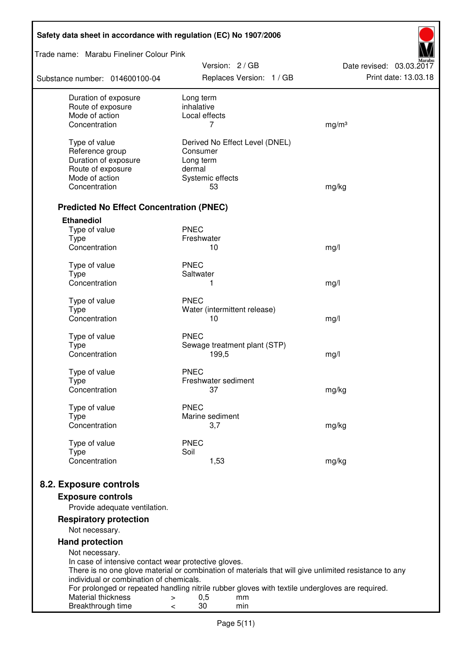| Safety data sheet in accordance with regulation (EC) No 1907/2006 |                                                                                                       |                                                  |  |  |
|-------------------------------------------------------------------|-------------------------------------------------------------------------------------------------------|--------------------------------------------------|--|--|
| Trade name: Marabu Fineliner Colour Pink                          |                                                                                                       |                                                  |  |  |
| Substance number: 014600100-04                                    | Version: 2 / GB<br>Replaces Version: 1 / GB                                                           | Date revised: 03.03.2017<br>Print date: 13.03.18 |  |  |
| Duration of exposure                                              | Long term                                                                                             |                                                  |  |  |
| Route of exposure<br>Mode of action                               | inhalative<br>Local effects                                                                           |                                                  |  |  |
| Concentration                                                     | 7                                                                                                     | mg/m <sup>3</sup>                                |  |  |
|                                                                   |                                                                                                       |                                                  |  |  |
| Type of value                                                     | Derived No Effect Level (DNEL)<br>Consumer                                                            |                                                  |  |  |
| Reference group<br>Duration of exposure                           | Long term                                                                                             |                                                  |  |  |
| Route of exposure                                                 | dermal                                                                                                |                                                  |  |  |
| Mode of action                                                    | Systemic effects                                                                                      |                                                  |  |  |
| Concentration                                                     | 53                                                                                                    | mg/kg                                            |  |  |
| <b>Predicted No Effect Concentration (PNEC)</b>                   |                                                                                                       |                                                  |  |  |
| <b>Ethanediol</b>                                                 |                                                                                                       |                                                  |  |  |
| Type of value                                                     | <b>PNEC</b>                                                                                           |                                                  |  |  |
| <b>Type</b>                                                       | Freshwater                                                                                            |                                                  |  |  |
| Concentration                                                     | 10                                                                                                    | mg/l                                             |  |  |
| Type of value                                                     | <b>PNEC</b>                                                                                           |                                                  |  |  |
| <b>Type</b>                                                       | Saltwater                                                                                             |                                                  |  |  |
| Concentration                                                     | 1                                                                                                     | mg/l                                             |  |  |
| Type of value                                                     | <b>PNEC</b>                                                                                           |                                                  |  |  |
| <b>Type</b>                                                       | Water (intermittent release)                                                                          |                                                  |  |  |
| Concentration                                                     | 10                                                                                                    | mg/l                                             |  |  |
| Type of value                                                     | <b>PNEC</b>                                                                                           |                                                  |  |  |
| <b>Type</b>                                                       | Sewage treatment plant (STP)                                                                          |                                                  |  |  |
| Concentration                                                     | 199,5                                                                                                 | mg/l                                             |  |  |
| Type of value                                                     | <b>PNEC</b>                                                                                           |                                                  |  |  |
| Type                                                              | Freshwater sediment                                                                                   |                                                  |  |  |
| Concentration                                                     | 37                                                                                                    | mg/kg                                            |  |  |
| Type of value                                                     | <b>PNEC</b>                                                                                           |                                                  |  |  |
| <b>Type</b>                                                       | Marine sediment                                                                                       |                                                  |  |  |
| Concentration                                                     | 3,7                                                                                                   | mg/kg                                            |  |  |
| Type of value                                                     | <b>PNEC</b>                                                                                           |                                                  |  |  |
| <b>Type</b>                                                       | Soil                                                                                                  |                                                  |  |  |
| Concentration                                                     | 1,53                                                                                                  | mg/kg                                            |  |  |
| 8.2. Exposure controls                                            |                                                                                                       |                                                  |  |  |
| <b>Exposure controls</b>                                          |                                                                                                       |                                                  |  |  |
| Provide adequate ventilation.                                     |                                                                                                       |                                                  |  |  |
| <b>Respiratory protection</b><br>Not necessary.                   |                                                                                                       |                                                  |  |  |
| <b>Hand protection</b>                                            |                                                                                                       |                                                  |  |  |
| Not necessary.                                                    |                                                                                                       |                                                  |  |  |
| In case of intensive contact wear protective gloves.              |                                                                                                       |                                                  |  |  |
| individual or combination of chemicals.                           | There is no one glove material or combination of materials that will give unlimited resistance to any |                                                  |  |  |
|                                                                   | For prolonged or repeated handling nitrile rubber gloves with textile undergloves are required.       |                                                  |  |  |
| Material thickness                                                | 0,5<br>mm<br>>                                                                                        |                                                  |  |  |
| Breakthrough time                                                 | 30<br>min<br>$\,<\,$                                                                                  |                                                  |  |  |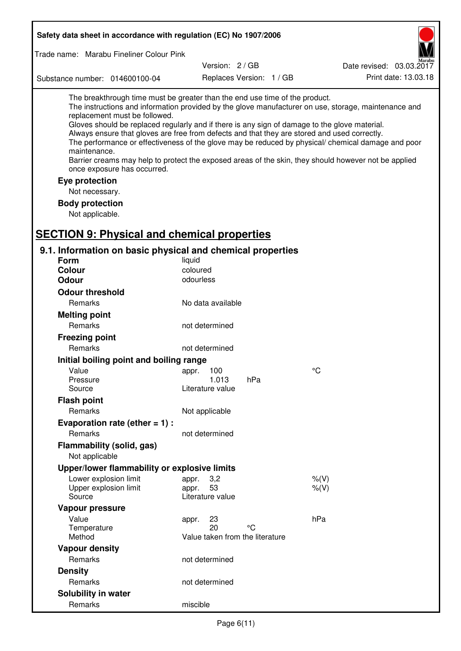| Safety data sheet in accordance with regulation (EC) No 1907/2006                                                                                                                                                                                                                                                                                            |                                 |                          |                                                                                                                                                                                                                                                                                                                    |
|--------------------------------------------------------------------------------------------------------------------------------------------------------------------------------------------------------------------------------------------------------------------------------------------------------------------------------------------------------------|---------------------------------|--------------------------|--------------------------------------------------------------------------------------------------------------------------------------------------------------------------------------------------------------------------------------------------------------------------------------------------------------------|
| Trade name: Marabu Fineliner Colour Pink                                                                                                                                                                                                                                                                                                                     |                                 |                          |                                                                                                                                                                                                                                                                                                                    |
|                                                                                                                                                                                                                                                                                                                                                              | Version: 2/GB                   |                          | Date revised: 03.03.2017                                                                                                                                                                                                                                                                                           |
| Substance number: 014600100-04                                                                                                                                                                                                                                                                                                                               |                                 | Replaces Version: 1 / GB | Print date: 13.03.18                                                                                                                                                                                                                                                                                               |
| The breakthrough time must be greater than the end use time of the product.<br>replacement must be followed.<br>Gloves should be replaced regularly and if there is any sign of damage to the glove material.<br>Always ensure that gloves are free from defects and that they are stored and used correctly.<br>maintenance.<br>once exposure has occurred. |                                 |                          | The instructions and information provided by the glove manufacturer on use, storage, maintenance and<br>The performance or effectiveness of the glove may be reduced by physical/ chemical damage and poor<br>Barrier creams may help to protect the exposed areas of the skin, they should however not be applied |
| Eye protection                                                                                                                                                                                                                                                                                                                                               |                                 |                          |                                                                                                                                                                                                                                                                                                                    |
| Not necessary.                                                                                                                                                                                                                                                                                                                                               |                                 |                          |                                                                                                                                                                                                                                                                                                                    |
| <b>Body protection</b><br>Not applicable.                                                                                                                                                                                                                                                                                                                    |                                 |                          |                                                                                                                                                                                                                                                                                                                    |
| <b>SECTION 9: Physical and chemical properties</b>                                                                                                                                                                                                                                                                                                           |                                 |                          |                                                                                                                                                                                                                                                                                                                    |
| 9.1. Information on basic physical and chemical properties                                                                                                                                                                                                                                                                                                   |                                 |                          |                                                                                                                                                                                                                                                                                                                    |
| <b>Form</b>                                                                                                                                                                                                                                                                                                                                                  | liquid                          |                          |                                                                                                                                                                                                                                                                                                                    |
| <b>Colour</b>                                                                                                                                                                                                                                                                                                                                                | coloured                        |                          |                                                                                                                                                                                                                                                                                                                    |
| <b>Odour</b>                                                                                                                                                                                                                                                                                                                                                 | odourless                       |                          |                                                                                                                                                                                                                                                                                                                    |
| <b>Odour threshold</b>                                                                                                                                                                                                                                                                                                                                       |                                 |                          |                                                                                                                                                                                                                                                                                                                    |
| Remarks                                                                                                                                                                                                                                                                                                                                                      | No data available               |                          |                                                                                                                                                                                                                                                                                                                    |
| <b>Melting point</b>                                                                                                                                                                                                                                                                                                                                         |                                 |                          |                                                                                                                                                                                                                                                                                                                    |
| Remarks                                                                                                                                                                                                                                                                                                                                                      | not determined                  |                          |                                                                                                                                                                                                                                                                                                                    |
| <b>Freezing point</b>                                                                                                                                                                                                                                                                                                                                        |                                 |                          |                                                                                                                                                                                                                                                                                                                    |
| Remarks                                                                                                                                                                                                                                                                                                                                                      | not determined                  |                          |                                                                                                                                                                                                                                                                                                                    |
| Initial boiling point and boiling range                                                                                                                                                                                                                                                                                                                      |                                 |                          |                                                                                                                                                                                                                                                                                                                    |
| Value                                                                                                                                                                                                                                                                                                                                                        | 100<br>appr.                    |                          | $^{\circ}C$                                                                                                                                                                                                                                                                                                        |
| Pressure                                                                                                                                                                                                                                                                                                                                                     | 1.013                           | hPa                      |                                                                                                                                                                                                                                                                                                                    |
| Source                                                                                                                                                                                                                                                                                                                                                       | Literature value                |                          |                                                                                                                                                                                                                                                                                                                    |
| <b>Flash point</b>                                                                                                                                                                                                                                                                                                                                           |                                 |                          |                                                                                                                                                                                                                                                                                                                    |
| Remarks                                                                                                                                                                                                                                                                                                                                                      | Not applicable                  |                          |                                                                                                                                                                                                                                                                                                                    |
| Evaporation rate (ether $= 1$ ) :                                                                                                                                                                                                                                                                                                                            |                                 |                          |                                                                                                                                                                                                                                                                                                                    |
| Remarks                                                                                                                                                                                                                                                                                                                                                      | not determined                  |                          |                                                                                                                                                                                                                                                                                                                    |
| Flammability (solid, gas)                                                                                                                                                                                                                                                                                                                                    |                                 |                          |                                                                                                                                                                                                                                                                                                                    |
| Not applicable                                                                                                                                                                                                                                                                                                                                               |                                 |                          |                                                                                                                                                                                                                                                                                                                    |
| Upper/lower flammability or explosive limits                                                                                                                                                                                                                                                                                                                 |                                 |                          |                                                                                                                                                                                                                                                                                                                    |
| Lower explosion limit                                                                                                                                                                                                                                                                                                                                        | 3,2<br>appr.                    |                          | $%$ (V)                                                                                                                                                                                                                                                                                                            |
| Upper explosion limit                                                                                                                                                                                                                                                                                                                                        | 53<br>appr.                     |                          | $%$ (V)                                                                                                                                                                                                                                                                                                            |
| Source                                                                                                                                                                                                                                                                                                                                                       | Literature value                |                          |                                                                                                                                                                                                                                                                                                                    |
| Vapour pressure                                                                                                                                                                                                                                                                                                                                              |                                 |                          |                                                                                                                                                                                                                                                                                                                    |
| Value                                                                                                                                                                                                                                                                                                                                                        | 23<br>appr.                     |                          | hPa                                                                                                                                                                                                                                                                                                                |
| Temperature                                                                                                                                                                                                                                                                                                                                                  | 20                              | $^{\circ}C$              |                                                                                                                                                                                                                                                                                                                    |
| Method                                                                                                                                                                                                                                                                                                                                                       | Value taken from the literature |                          |                                                                                                                                                                                                                                                                                                                    |
| <b>Vapour density</b>                                                                                                                                                                                                                                                                                                                                        |                                 |                          |                                                                                                                                                                                                                                                                                                                    |
| Remarks                                                                                                                                                                                                                                                                                                                                                      | not determined                  |                          |                                                                                                                                                                                                                                                                                                                    |
| <b>Density</b>                                                                                                                                                                                                                                                                                                                                               |                                 |                          |                                                                                                                                                                                                                                                                                                                    |
| Remarks                                                                                                                                                                                                                                                                                                                                                      | not determined                  |                          |                                                                                                                                                                                                                                                                                                                    |
| Solubility in water                                                                                                                                                                                                                                                                                                                                          |                                 |                          |                                                                                                                                                                                                                                                                                                                    |
| Remarks                                                                                                                                                                                                                                                                                                                                                      | miscible                        |                          |                                                                                                                                                                                                                                                                                                                    |

Г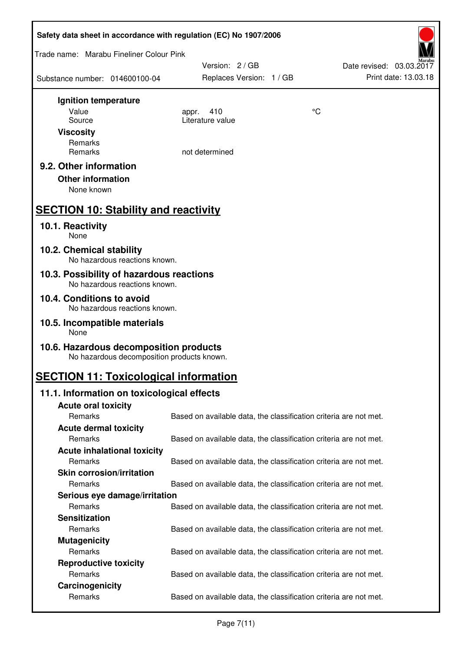| Safety data sheet in accordance with regulation (EC) No 1907/2006                    |                          |                                                                   |  |  |  |
|--------------------------------------------------------------------------------------|--------------------------|-------------------------------------------------------------------|--|--|--|
| Trade name: Marabu Fineliner Colour Pink                                             |                          |                                                                   |  |  |  |
|                                                                                      | Version: 2 / GB          | Date revised: 03.03.2017                                          |  |  |  |
| Substance number: 014600100-04                                                       | Replaces Version: 1 / GB | Print date: 13.03.18                                              |  |  |  |
| Ignition temperature                                                                 |                          |                                                                   |  |  |  |
| Value                                                                                | 410<br>appr.             | °C                                                                |  |  |  |
| Source                                                                               | Literature value         |                                                                   |  |  |  |
| <b>Viscosity</b>                                                                     |                          |                                                                   |  |  |  |
| Remarks<br>Remarks                                                                   | not determined           |                                                                   |  |  |  |
|                                                                                      |                          |                                                                   |  |  |  |
| 9.2. Other information                                                               |                          |                                                                   |  |  |  |
| <b>Other information</b>                                                             |                          |                                                                   |  |  |  |
| None known                                                                           |                          |                                                                   |  |  |  |
| <b>SECTION 10: Stability and reactivity</b>                                          |                          |                                                                   |  |  |  |
| 10.1. Reactivity<br>None                                                             |                          |                                                                   |  |  |  |
|                                                                                      |                          |                                                                   |  |  |  |
| 10.2. Chemical stability<br>No hazardous reactions known.                            |                          |                                                                   |  |  |  |
| 10.3. Possibility of hazardous reactions<br>No hazardous reactions known.            |                          |                                                                   |  |  |  |
| 10.4. Conditions to avoid<br>No hazardous reactions known.                           |                          |                                                                   |  |  |  |
| 10.5. Incompatible materials<br>None                                                 |                          |                                                                   |  |  |  |
|                                                                                      |                          |                                                                   |  |  |  |
| 10.6. Hazardous decomposition products<br>No hazardous decomposition products known. |                          |                                                                   |  |  |  |
| <b>SECTION 11: Toxicological information</b>                                         |                          |                                                                   |  |  |  |
| 11.1. Information on toxicological effects                                           |                          |                                                                   |  |  |  |
| <b>Acute oral toxicity</b>                                                           |                          |                                                                   |  |  |  |
| Remarks                                                                              |                          | Based on available data, the classification criteria are not met. |  |  |  |
| <b>Acute dermal toxicity</b>                                                         |                          |                                                                   |  |  |  |
| Remarks                                                                              |                          | Based on available data, the classification criteria are not met. |  |  |  |
| <b>Acute inhalational toxicity</b>                                                   |                          |                                                                   |  |  |  |
| Remarks                                                                              |                          | Based on available data, the classification criteria are not met. |  |  |  |
| <b>Skin corrosion/irritation</b>                                                     |                          |                                                                   |  |  |  |
| Remarks                                                                              |                          | Based on available data, the classification criteria are not met. |  |  |  |
| Serious eye damage/irritation<br>Remarks                                             |                          | Based on available data, the classification criteria are not met. |  |  |  |
| <b>Sensitization</b>                                                                 |                          |                                                                   |  |  |  |
| Remarks                                                                              |                          | Based on available data, the classification criteria are not met. |  |  |  |
| <b>Mutagenicity</b>                                                                  |                          |                                                                   |  |  |  |
| Remarks                                                                              |                          | Based on available data, the classification criteria are not met. |  |  |  |
| <b>Reproductive toxicity</b>                                                         |                          |                                                                   |  |  |  |
| Remarks                                                                              |                          | Based on available data, the classification criteria are not met. |  |  |  |
| Carcinogenicity                                                                      |                          |                                                                   |  |  |  |
| Remarks                                                                              |                          | Based on available data, the classification criteria are not met. |  |  |  |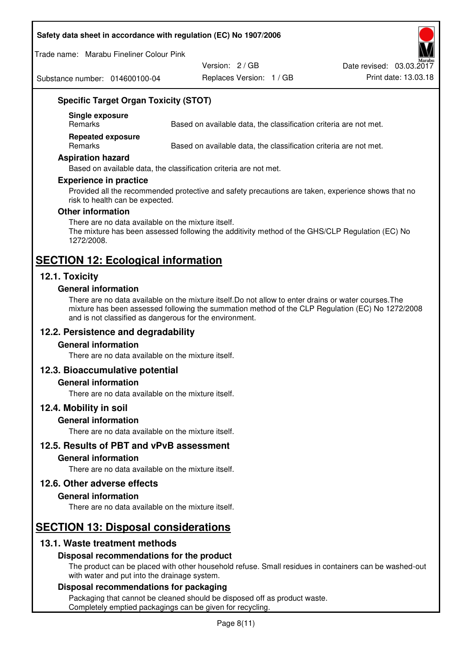#### **Safety data sheet in accordance with regulation (EC) No 1907/2006**

Trade name: Marabu Fineliner Colour Pink

Substance number: 014600100-04

Version: 2 / GB

Replaces Version: 1 / GB Print date: 13.03.18 Date revised: 03.03.2017

# **Specific Target Organ Toxicity (STOT)**

**Single exposure** 

Based on available data, the classification criteria are not met.

**Repeated exposure** 

Remarks Based on available data, the classification criteria are not met.

#### **Aspiration hazard**

Based on available data, the classification criteria are not met.

#### **Experience in practice**

Provided all the recommended protective and safety precautions are taken, experience shows that no risk to health can be expected.

#### **Other information**

There are no data available on the mixture itself. The mixture has been assessed following the additivity method of the GHS/CLP Regulation (EC) No 1272/2008.

# **SECTION 12: Ecological information**

## **12.1. Toxicity**

#### **General information**

There are no data available on the mixture itself.Do not allow to enter drains or water courses.The mixture has been assessed following the summation method of the CLP Regulation (EC) No 1272/2008 and is not classified as dangerous for the environment.

## **12.2. Persistence and degradability**

#### **General information**

There are no data available on the mixture itself.

#### **12.3. Bioaccumulative potential**

#### **General information**

There are no data available on the mixture itself.

#### **12.4. Mobility in soil**

#### **General information**

There are no data available on the mixture itself.

**12.5. Results of PBT and vPvB assessment** 

### **General information**

There are no data available on the mixture itself.

#### **12.6. Other adverse effects**

#### **General information**

There are no data available on the mixture itself.

# **SECTION 13: Disposal considerations**

## **13.1. Waste treatment methods**

#### **Disposal recommendations for the product**

The product can be placed with other household refuse. Small residues in containers can be washed-out with water and put into the drainage system.

#### **Disposal recommendations for packaging**

Packaging that cannot be cleaned should be disposed off as product waste. Completely emptied packagings can be given for recycling.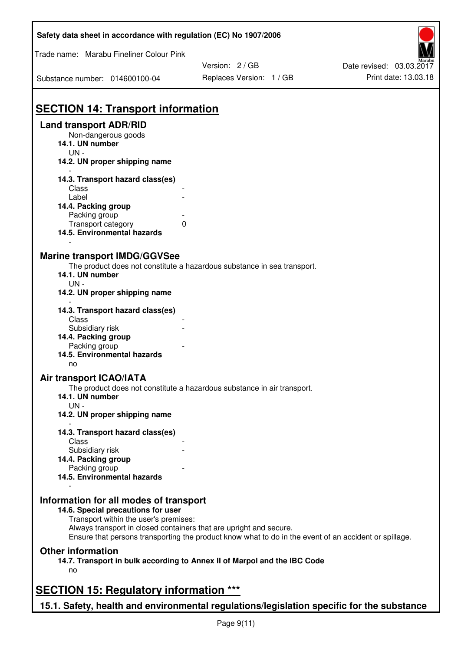| Safety data sheet in accordance with regulation (EC) No 1907/2006                                                                                                           |                          |                          |
|-----------------------------------------------------------------------------------------------------------------------------------------------------------------------------|--------------------------|--------------------------|
| Trade name: Marabu Fineliner Colour Pink                                                                                                                                    |                          |                          |
|                                                                                                                                                                             | Version: 2/GB            | Date revised: 03.03.2017 |
| Substance number: 014600100-04                                                                                                                                              | Replaces Version: 1 / GB | Print date: 13.03.18     |
| <b>SECTION 14: Transport information</b>                                                                                                                                    |                          |                          |
| <b>Land transport ADR/RID</b>                                                                                                                                               |                          |                          |
| Non-dangerous goods                                                                                                                                                         |                          |                          |
| 14.1. UN number                                                                                                                                                             |                          |                          |
| $UN -$                                                                                                                                                                      |                          |                          |
| 14.2. UN proper shipping name                                                                                                                                               |                          |                          |
| 14.3. Transport hazard class(es)                                                                                                                                            |                          |                          |
| Class                                                                                                                                                                       |                          |                          |
| Label                                                                                                                                                                       |                          |                          |
| 14.4. Packing group                                                                                                                                                         |                          |                          |
| Packing group                                                                                                                                                               |                          |                          |
| Transport category<br>0                                                                                                                                                     |                          |                          |
| 14.5. Environmental hazards                                                                                                                                                 |                          |                          |
|                                                                                                                                                                             |                          |                          |
| <b>Marine transport IMDG/GGVSee</b>                                                                                                                                         |                          |                          |
| The product does not constitute a hazardous substance in sea transport.                                                                                                     |                          |                          |
| 14.1. UN number                                                                                                                                                             |                          |                          |
| $UN -$                                                                                                                                                                      |                          |                          |
| 14.2. UN proper shipping name                                                                                                                                               |                          |                          |
|                                                                                                                                                                             |                          |                          |
| 14.3. Transport hazard class(es)                                                                                                                                            |                          |                          |
| Class                                                                                                                                                                       |                          |                          |
| Subsidiary risk                                                                                                                                                             |                          |                          |
| 14.4. Packing group                                                                                                                                                         |                          |                          |
| Packing group                                                                                                                                                               |                          |                          |
| 14.5. Environmental hazards                                                                                                                                                 |                          |                          |
| no                                                                                                                                                                          |                          |                          |
| Air transport ICAO/IATA                                                                                                                                                     |                          |                          |
| The product does not constitute a hazardous substance in air transport.                                                                                                     |                          |                          |
| 14.1. UN number                                                                                                                                                             |                          |                          |
| $UN -$                                                                                                                                                                      |                          |                          |
| 14.2. UN proper shipping name                                                                                                                                               |                          |                          |
|                                                                                                                                                                             |                          |                          |
| 14.3. Transport hazard class(es)                                                                                                                                            |                          |                          |
| Class                                                                                                                                                                       |                          |                          |
| Subsidiary risk                                                                                                                                                             |                          |                          |
| 14.4. Packing group                                                                                                                                                         |                          |                          |
| Packing group                                                                                                                                                               |                          |                          |
| 14.5. Environmental hazards                                                                                                                                                 |                          |                          |
|                                                                                                                                                                             |                          |                          |
| Information for all modes of transport                                                                                                                                      |                          |                          |
| 14.6. Special precautions for user                                                                                                                                          |                          |                          |
| Transport within the user's premises:                                                                                                                                       |                          |                          |
| Always transport in closed containers that are upright and secure.<br>Ensure that persons transporting the product know what to do in the event of an accident or spillage. |                          |                          |
|                                                                                                                                                                             |                          |                          |
| <b>Other information</b>                                                                                                                                                    |                          |                          |
| 14.7. Transport in bulk according to Annex II of Marpol and the IBC Code                                                                                                    |                          |                          |
| no                                                                                                                                                                          |                          |                          |
|                                                                                                                                                                             |                          |                          |
| <b>SECTION 15: Regulatory information ***</b>                                                                                                                               |                          |                          |
| 15.1. Safety, health and environmental regulations/legislation specific for the substance                                                                                   |                          |                          |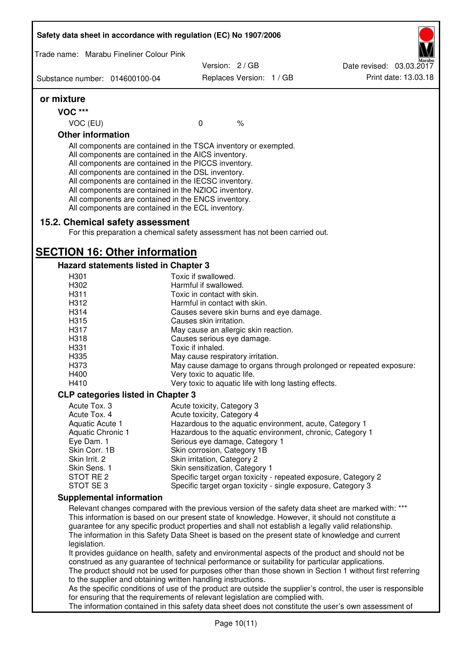| Safety data sheet in accordance with regulation (EC) No 1907/2006                                                                                                                                                                                                                                                                                                                                                                                                                                                                                                                                                                        |                                                                |                          |  |                                                                                                              |
|------------------------------------------------------------------------------------------------------------------------------------------------------------------------------------------------------------------------------------------------------------------------------------------------------------------------------------------------------------------------------------------------------------------------------------------------------------------------------------------------------------------------------------------------------------------------------------------------------------------------------------------|----------------------------------------------------------------|--------------------------|--|--------------------------------------------------------------------------------------------------------------|
| Trade name: Marabu Fineliner Colour Pink                                                                                                                                                                                                                                                                                                                                                                                                                                                                                                                                                                                                 |                                                                |                          |  |                                                                                                              |
|                                                                                                                                                                                                                                                                                                                                                                                                                                                                                                                                                                                                                                          | Version: 2 / GB                                                |                          |  | Date revised: 03.03.2017                                                                                     |
| Substance number: 014600100-04                                                                                                                                                                                                                                                                                                                                                                                                                                                                                                                                                                                                           |                                                                | Replaces Version: 1 / GB |  | Print date: 13.03.18                                                                                         |
| or mixture                                                                                                                                                                                                                                                                                                                                                                                                                                                                                                                                                                                                                               |                                                                |                          |  |                                                                                                              |
| <b>VOC ***</b>                                                                                                                                                                                                                                                                                                                                                                                                                                                                                                                                                                                                                           |                                                                |                          |  |                                                                                                              |
| VOC (EU)                                                                                                                                                                                                                                                                                                                                                                                                                                                                                                                                                                                                                                 | $\mathbf 0$                                                    | $\%$                     |  |                                                                                                              |
| <b>Other information</b>                                                                                                                                                                                                                                                                                                                                                                                                                                                                                                                                                                                                                 |                                                                |                          |  |                                                                                                              |
| All components are contained in the TSCA inventory or exempted.<br>All components are contained in the AICS inventory.<br>All components are contained in the PICCS inventory.<br>All components are contained in the DSL inventory.<br>All components are contained in the IECSC inventory.<br>All components are contained in the NZIOC inventory.<br>All components are contained in the ENCS inventory.<br>All components are contained in the ECL inventory.                                                                                                                                                                        |                                                                |                          |  |                                                                                                              |
| 15.2. Chemical safety assessment<br>For this preparation a chemical safety assessment has not been carried out.                                                                                                                                                                                                                                                                                                                                                                                                                                                                                                                          |                                                                |                          |  |                                                                                                              |
| <b>SECTION 16: Other information</b>                                                                                                                                                                                                                                                                                                                                                                                                                                                                                                                                                                                                     |                                                                |                          |  |                                                                                                              |
| <b>Hazard statements listed in Chapter 3</b>                                                                                                                                                                                                                                                                                                                                                                                                                                                                                                                                                                                             |                                                                |                          |  |                                                                                                              |
| H <sub>301</sub>                                                                                                                                                                                                                                                                                                                                                                                                                                                                                                                                                                                                                         | Toxic if swallowed.                                            |                          |  |                                                                                                              |
| H302                                                                                                                                                                                                                                                                                                                                                                                                                                                                                                                                                                                                                                     | Harmful if swallowed.                                          |                          |  |                                                                                                              |
| H311                                                                                                                                                                                                                                                                                                                                                                                                                                                                                                                                                                                                                                     | Toxic in contact with skin.                                    |                          |  |                                                                                                              |
| H312                                                                                                                                                                                                                                                                                                                                                                                                                                                                                                                                                                                                                                     | Harmful in contact with skin.                                  |                          |  |                                                                                                              |
| H314                                                                                                                                                                                                                                                                                                                                                                                                                                                                                                                                                                                                                                     | Causes severe skin burns and eye damage.                       |                          |  |                                                                                                              |
| H315                                                                                                                                                                                                                                                                                                                                                                                                                                                                                                                                                                                                                                     | Causes skin irritation.                                        |                          |  |                                                                                                              |
| H317                                                                                                                                                                                                                                                                                                                                                                                                                                                                                                                                                                                                                                     | May cause an allergic skin reaction.                           |                          |  |                                                                                                              |
| H318                                                                                                                                                                                                                                                                                                                                                                                                                                                                                                                                                                                                                                     | Causes serious eye damage.                                     |                          |  |                                                                                                              |
| H331                                                                                                                                                                                                                                                                                                                                                                                                                                                                                                                                                                                                                                     | Toxic if inhaled.                                              |                          |  |                                                                                                              |
| H335                                                                                                                                                                                                                                                                                                                                                                                                                                                                                                                                                                                                                                     | May cause respiratory irritation.                              |                          |  |                                                                                                              |
| H373                                                                                                                                                                                                                                                                                                                                                                                                                                                                                                                                                                                                                                     |                                                                |                          |  | May cause damage to organs through prolonged or repeated exposure:                                           |
| H400                                                                                                                                                                                                                                                                                                                                                                                                                                                                                                                                                                                                                                     | Very toxic to aquatic life.                                    |                          |  |                                                                                                              |
| H410                                                                                                                                                                                                                                                                                                                                                                                                                                                                                                                                                                                                                                     | Very toxic to aquatic life with long lasting effects.          |                          |  |                                                                                                              |
| <b>CLP categories listed in Chapter 3</b>                                                                                                                                                                                                                                                                                                                                                                                                                                                                                                                                                                                                |                                                                |                          |  |                                                                                                              |
| Acute Tox. 3                                                                                                                                                                                                                                                                                                                                                                                                                                                                                                                                                                                                                             | Acute toxicity, Category 3                                     |                          |  |                                                                                                              |
| Acute Tox. 4                                                                                                                                                                                                                                                                                                                                                                                                                                                                                                                                                                                                                             | Acute toxicity, Category 4                                     |                          |  |                                                                                                              |
| Aquatic Acute 1                                                                                                                                                                                                                                                                                                                                                                                                                                                                                                                                                                                                                          | Hazardous to the aquatic environment, acute, Category 1        |                          |  |                                                                                                              |
| <b>Aquatic Chronic 1</b>                                                                                                                                                                                                                                                                                                                                                                                                                                                                                                                                                                                                                 | Hazardous to the aquatic environment, chronic, Category 1      |                          |  |                                                                                                              |
| Eye Dam. 1<br>Skin Corr. 1B                                                                                                                                                                                                                                                                                                                                                                                                                                                                                                                                                                                                              | Serious eye damage, Category 1<br>Skin corrosion, Category 1B  |                          |  |                                                                                                              |
| Skin Irrit. 2                                                                                                                                                                                                                                                                                                                                                                                                                                                                                                                                                                                                                            | Skin irritation, Category 2                                    |                          |  |                                                                                                              |
| Skin Sens. 1                                                                                                                                                                                                                                                                                                                                                                                                                                                                                                                                                                                                                             | Skin sensitization, Category 1                                 |                          |  |                                                                                                              |
| STOT RE 2                                                                                                                                                                                                                                                                                                                                                                                                                                                                                                                                                                                                                                | Specific target organ toxicity - repeated exposure, Category 2 |                          |  |                                                                                                              |
| STOT SE 3                                                                                                                                                                                                                                                                                                                                                                                                                                                                                                                                                                                                                                | Specific target organ toxicity - single exposure, Category 3   |                          |  |                                                                                                              |
| <b>Supplemental information</b>                                                                                                                                                                                                                                                                                                                                                                                                                                                                                                                                                                                                          |                                                                |                          |  |                                                                                                              |
| Relevant changes compared with the previous version of the safety data sheet are marked with: ***<br>This information is based on our present state of knowledge. However, it should not constitute a<br>guarantee for any specific product properties and shall not establish a legally valid relationship.<br>The information in this Safety Data Sheet is based on the present state of knowledge and current<br>legislation.<br>It provides guidance on health, safety and environmental aspects of the product and should not be<br>construed as any guarantee of technical performance or suitability for particular applications. |                                                                |                          |  |                                                                                                              |
| The product should not be used for purposes other than those shown in Section 1 without first referring<br>to the supplier and obtaining written handling instructions.                                                                                                                                                                                                                                                                                                                                                                                                                                                                  |                                                                |                          |  |                                                                                                              |
|                                                                                                                                                                                                                                                                                                                                                                                                                                                                                                                                                                                                                                          |                                                                |                          |  | As the specific conditions of use of the product are outside the supplier's control, the user is responsible |
| for ensuring that the requirements of relevant legislation are complied with.<br>The information contained in this safety data sheet does not constitute the user's own assessment of                                                                                                                                                                                                                                                                                                                                                                                                                                                    |                                                                |                          |  |                                                                                                              |